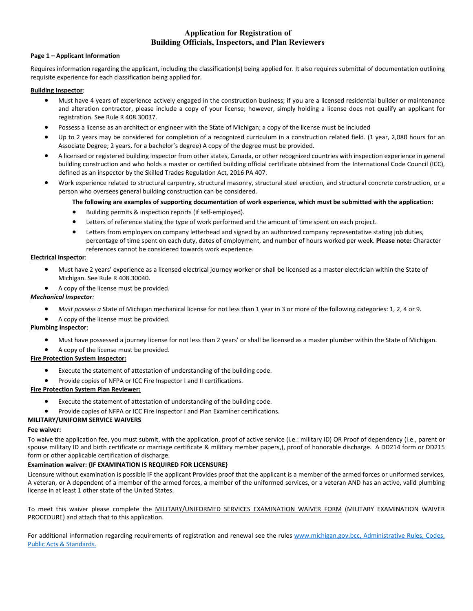# **Application for Registration of Building Officials, Inspectors, and Plan Reviewers**

#### **Page 1 – Applicant Information**

Requires information regarding the applicant, including the classification(s) being applied for. It also requires submittal of documentation outlining requisite experience for each classification being applied for.

#### **Building Inspector**:

- Must have 4 years of experience actively engaged in the construction business; if you are a licensed residential builder or maintenance and alteration contractor, please include a copy of your license; however, simply holding a license does not qualify an applicant for registration. See Rule R 408.30037.
- Possess a license as an architect or engineer with the State of Michigan; a copy of the license must be included
- Up to 2 years may be considered for completion of a recognized curriculum in a construction related field. (1 year, 2,080 hours for an Associate Degree; 2 years, for a bachelor's degree) A copy of the degree must be provided.
- A licensed or registered building inspector from other states, Canada, or other recognized countries with inspection experience in general building construction and who holds a master or certified building official certificate obtained from the International Code Council (ICC), defined as an inspector by the Skilled Trades Regulation Act, 2016 PA 407.
- Work experience related to structural carpentry, structural masonry, structural steel erection, and structural concrete construction, or a person who oversees general building construction can be considered.

### **The following are examples of supporting documentation of work experience, which must be submitted with the application:**

- Building permits & inspection reports (if self-employed).
- Letters of reference stating the type of work performed and the amount of time spent on each project.
- Letters from employers on company letterhead and signed by an authorized company representative stating job duties, percentage of time spent on each duty, dates of employment, and number of hours worked per week. **Please note:** Character references cannot be considered towards work experience.

### **Electrical Inspector**:

- Must have 2 years' experience as a licensed electrical journey worker or shall be licensed as a master electrician within the State of Michigan. See Rule R 408.30040.
- A copy of the license must be provided.

### *Mechanical Inspector:*

- *Must possess a* State of Michigan mechanical license for not less than 1 year in 3 or more of the following categories: 1, 2, 4 or 9.
- A copy of the license must be provided.

### **Plumbing Inspector**:

- Must have possessed a journey license for not less than 2 years' or shall be licensed as a master plumber within the State of Michigan.
- A copy of the license must be provided.

### **Fire Protection System Inspector:**

- Execute the statement of attestation of understanding of the building code.
- Provide copies of NFPA or ICC Fire Inspector I and II certifications.

## **Fire Protection System Plan Reviewer:**

- Execute the statement of attestation of understanding of the building code.
- Provide copies of NFPA or ICC Fire Inspector I and Plan Examiner certifications.

### **MILITARY/UNIFORM SERVICE WAIVERS**

### **Fee waiver:**

To waive the application fee, you must submit, with the application, proof of active service (i.e.: military ID) OR Proof of dependency (i.e., parent or spouse military ID and birth certificate or marriage certificate & military member papers,), proof of honorable discharge. A DD214 form or DD215 form or other applicable certification of discharge.

### **Examination waiver: {IF EXAMINATION IS REQUIRED FOR LICENSURE}**

Licensure without examination is possible IF the applicant Provides proof that the applicant is a member of the armed forces or uniformed services, A veteran, or A dependent of a member of the armed forces, a member of the uniformed services, or a veteran AND has an active, valid plumbing license in at least 1 other state of the United States.

To meet this waiver please complete the MILITARY/UNIFORMED SERVICES EXAMINATION WAIVER FORM (MILITARY EXAMINATION WAIVER PROCEDURE) and attach that to this application.

For additional information regarding requirements of registration and renewal see the rules [www.michigan.gov.bcc,](http://www.michigan.gov.bcc/) Administrative Rules, Codes, Public Acts & Standards.